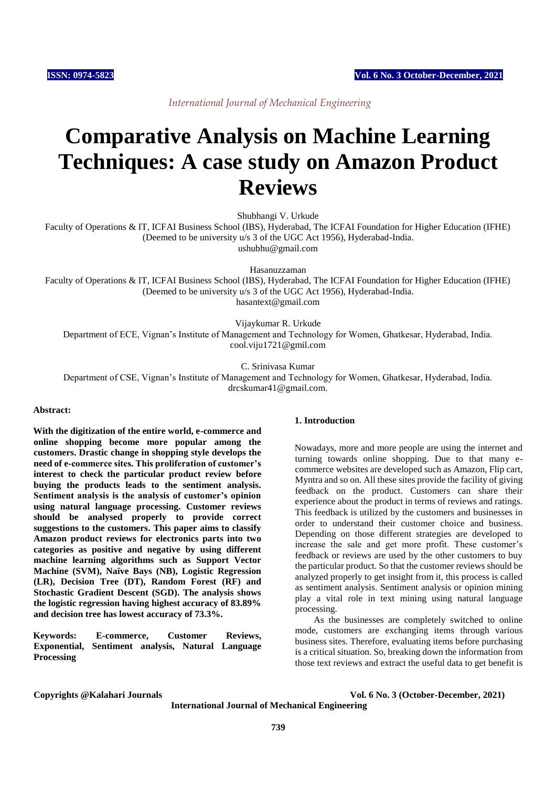*International Journal of Mechanical Engineering*

# **Comparative Analysis on Machine Learning Techniques: A case study on Amazon Product Reviews**

Shubhangi V. Urkude

Faculty of Operations & IT, ICFAI Business School (IBS), Hyderabad, The ICFAI Foundation for Higher Education (IFHE) (Deemed to be university u/s 3 of the UGC Act 1956), Hyderabad-India. ushubhu@gmail.com

Hasanuzzaman

Faculty of Operations & IT, ICFAI Business School (IBS), Hyderabad, The ICFAI Foundation for Higher Education (IFHE) (Deemed to be university u/s 3 of the UGC Act 1956), Hyderabad-India. hasantext@gmail.com

Vijaykumar R. Urkude

Department of ECE, Vignan's Institute of Management and Technology for Women, Ghatkesar, Hyderabad, India. cool.viju1721@gmil.com

C. Srinivasa Kumar

Department of CSE, Vignan's Institute of Management and Technology for Women, Ghatkesar, Hyderabad, India. drcskumar41@gmail.com.

#### **Abstract:**

**With the digitization of the entire world, e-commerce and online shopping become more popular among the customers. Drastic change in shopping style develops the need of e-commerce sites. This proliferation of customer's interest to check the particular product review before buying the products leads to the sentiment analysis. Sentiment analysis is the analysis of customer's opinion using natural language processing. Customer reviews should be analysed properly to provide correct suggestions to the customers. This paper aims to classify Amazon product reviews for electronics parts into two categories as positive and negative by using different machine learning algorithms such as Support Vector Machine (SVM), Naïve Bays (NB), Logistic Regression (LR), Decision Tree (DT), Random Forest (RF) and Stochastic Gradient Descent (SGD). The analysis shows the logistic regression having highest accuracy of 83.89% and decision tree has lowest accuracy of 73.3%.** 

**Keywords: E-commerce, Customer Reviews, Exponential, Sentiment analysis, Natural Language Processing**

#### **1. Introduction**

Nowadays, more and more people are using the internet and turning towards online shopping. Due to that many ecommerce websites are developed such as Amazon, Flip cart, Myntra and so on. All these sites provide the facility of giving feedback on the product. Customers can share their experience about the product in terms of reviews and ratings. This feedback is utilized by the customers and businesses in order to understand their customer choice and business. Depending on those different strategies are developed to increase the sale and get more profit. These customer's feedback or reviews are used by the other customers to buy the particular product. So that the customer reviews should be analyzed properly to get insight from it, this process is called as sentiment analysis. Sentiment analysis or opinion mining play a vital role in text mining using natural language processing.

As the businesses are completely switched to online mode, customers are exchanging items through various business sites. Therefore, evaluating items before purchasing is a critical situation. So, breaking down the information from those text reviews and extract the useful data to get benefit is

**Copyrights @Kalahari Journals Vol. 6 No. 3 (October-December, 2021)**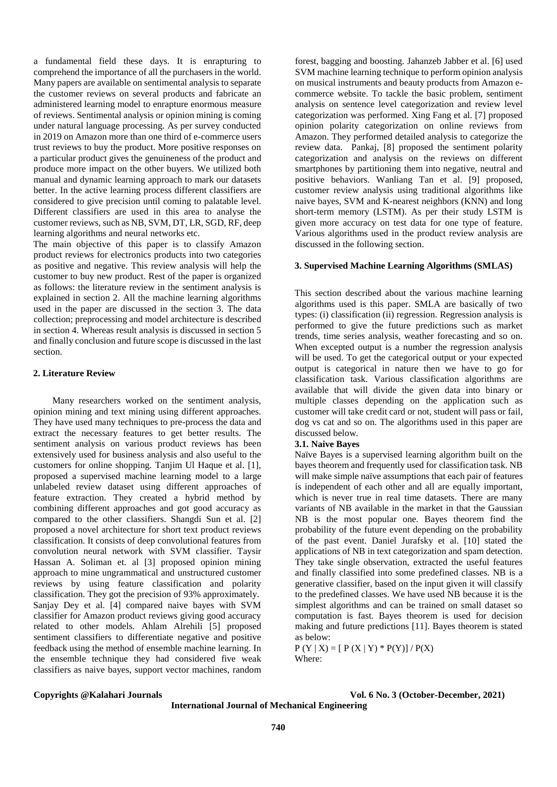a fundamental field these days. It is enrapturing to comprehend the importance of all the purchasers in the world. Many papers are available on sentimental analysis to separate the customer reviews on several products and fabricate an administered learning model to enrapture enormous measure of reviews. Sentimental analysis or opinion mining is coming under natural language processing. As per survey conducted in 2019 on Amazon more than one third of e-commerce users trust reviews to buy the product. More positive responses on a particular product gives the genuineness of the product and produce more impact on the other buyers. We utilized both manual and dynamic learning approach to mark our datasets better. In the active learning process different classifiers are considered to give precision until coming to palatable level. Different classifiers are used in this area to analyse the customer reviews, such as NB, SVM, DT, LR, SGD, RF, deep learning algorithms and neural networks etc.

The main objective of this paper is to classify Amazon product reviews for electronics products into two categories as positive and negative. This review analysis will help the customer to buy new product. Rest of the paper is organized as follows: the literature review in the sentiment analysis is explained in section 2. All the machine learning algorithms used in the paper are discussed in the section 3. The data collection; preprocessing and model architecture is described in section 4. Whereas result analysis is discussed in section 5 and finally conclusion and future scope is discussed in the last section.

#### **2. Literature Review**

Many researchers worked on the sentiment analysis, opinion mining and text mining using different approaches. They have used many techniques to pre-process the data and extract the necessary features to get better results. The sentiment analysis on various product reviews has been extensively used for business analysis and also useful to the customers for online shopping. Tanjim Ul Haque et al. [1], proposed a supervised machine learning model to a large unlabeled review dataset using different approaches of feature extraction. They created a hybrid method by combining different approaches and got good accuracy as compared to the other classifiers. Shangdi Sun et al. [2] proposed a novel architecture for short text product reviews classification. It consists of deep convolutional features from convolution neural network with SVM classifier. Taysir Hassan A. Soliman et. al [3] proposed opinion mining approach to mine ungrammatical and unstructured customer reviews by using feature classification and polarity classification. They got the precision of 93% approximately. Sanjay Dey et al. [4] compared naive bayes with SVM classifier for Amazon product reviews giving good accuracy related to other models. Ahlam Alrehili [5] proposed sentiment classifiers to differentiate negative and positive feedback using the method of ensemble machine learning. In the ensemble technique they had considered five weak classifiers as naive bayes, support vector machines, random

forest, bagging and boosting. Jahanzeb Jabber et al. [6] used SVM machine learning technique to perform opinion analysis on musical instruments and beauty products from Amazon ecommerce website. To tackle the basic problem, sentiment analysis on sentence level categorization and review level categorization was performed. Xing Fang et al. [7] proposed opinion polarity categorization on online reviews from Amazon. They performed detailed analysis to categorize the review data. Pankaj, [8] proposed the sentiment polarity categorization and analysis on the reviews on different smartphones by partitioning them into negative, neutral and positive behaviors. Wanliang Tan et al. [9] proposed, customer review analysis using traditional algorithms like naive bayes, SVM and K-nearest neighbors (KNN) and long short-term memory (LSTM). As per their study LSTM is given more accuracy on test data for one type of feature. Various algorithms used in the product review analysis are discussed in the following section.

# **3. Supervised Machine Learning Algorithms (SMLAS)**

This section described about the various machine learning algorithms used is this paper. SMLA are basically of two types: (i) classification (ii) regression. Regression analysis is performed to give the future predictions such as market trends, time series analysis, weather forecasting and so on. When excepted output is a number the regression analysis will be used. To get the categorical output or your expected output is categorical in nature then we have to go for classification task. Various classification algorithms are available that will divide the given data into binary or multiple classes depending on the application such as customer will take credit card or not, student will pass or fail, dog vs cat and so on. The algorithms used in this paper are discussed below.

#### **3.1. Naive Bayes**

Naïve Bayes is a supervised learning algorithm built on the bayes theorem and frequently used for classification task. NB will make simple naïve assumptions that each pair of features is independent of each other and all are equally important, which is never true in real time datasets. There are many variants of NB available in the market in that the Gaussian NB is the most popular one. Bayes theorem find the probability of the future event depending on the probability of the past event. Daniel Jurafsky et al. [10] stated the applications of NB in text categorization and spam detection. They take single observation, extracted the useful features and finally classified into some predefined classes. NB is a generative classifier, based on the input given it will classify to the predefined classes. We have used NB because it is the simplest algorithms and can be trained on small dataset so computation is fast. Bayes theorem is used for decision making and future predictions [11]. Bayes theorem is stated as below:

 $P(Y | X) = [P(X | Y) * P(Y)] / P(X)$ Where:

**Copyrights @Kalahari Journals Vol. 6 No. 3 (October-December, 2021)**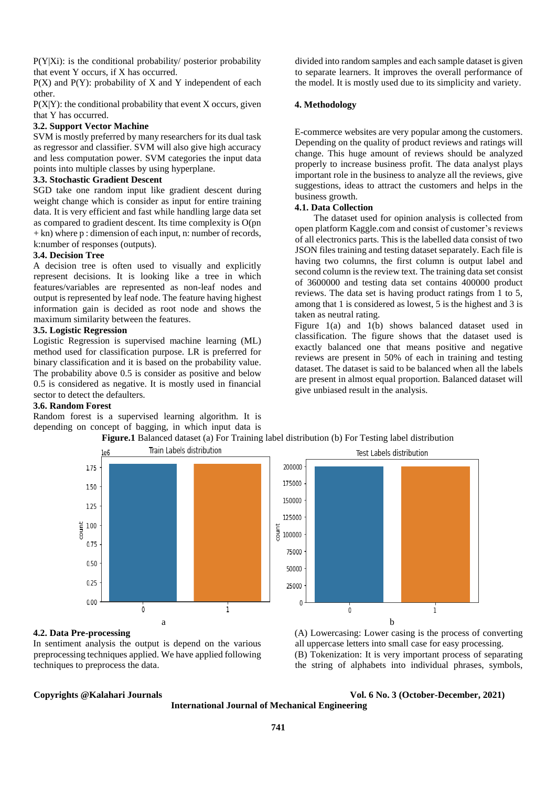P(Y|Xi): is the conditional probability/ posterior probability that event Y occurs, if X has occurred.

 $P(X)$  and  $P(Y)$ : probability of X and Y independent of each other.

 $P(X|Y)$ : the conditional probability that event X occurs, given that Y has occurred.

#### **3.2. Support Vector Machine**

SVM is mostly preferred by many researchers for its dual task as regressor and classifier. SVM will also give high accuracy and less computation power. SVM categories the input data points into multiple classes by using hyperplane.

# **3.3. Stochastic Gradient Descent**

SGD take one random input like gradient descent during weight change which is consider as input for entire training data. It is very efficient and fast while handling large data set as compared to gradient descent. Its time complexity is O(pn  $+$  kn) where p : dimension of each input, n: number of records, k:number of responses (outputs).

#### **3.4. Decision Tree**

A decision tree is often used to visually and explicitly represent decisions. It is looking like a tree in which features/variables are represented as non-leaf nodes and output is represented by leaf node. The feature having highest information gain is decided as root node and shows the maximum similarity between the features.

#### **3.5. Logistic Regression**

Logistic Regression is supervised machine learning (ML) method used for classification purpose. LR is preferred for binary classification and it is based on the probability value. The probability above 0.5 is consider as positive and below 0.5 is considered as negative. It is mostly used in financial sector to detect the defaulters.

#### **3.6. Random Forest**

Random forest is a supervised learning algorithm. It is depending on concept of bagging, in which input data is

divided into random samples and each sample dataset is given to separate learners. It improves the overall performance of the model. It is mostly used due to its simplicity and variety.

#### **4. Methodology**

E-commerce websites are very popular among the customers. Depending on the quality of product reviews and ratings will change. This huge amount of reviews should be analyzed properly to increase business profit. The data analyst plays important role in the business to analyze all the reviews, give suggestions, ideas to attract the customers and helps in the business growth.

#### **4.1. Data Collection**

The dataset used for opinion analysis is collected from open platform Kaggle.com and consist of customer's reviews of all electronics parts. This is the labelled data consist of two JSON files training and testing dataset separately. Each file is having two columns, the first column is output label and second column is the review text. The training data set consist of 3600000 and testing data set contains 400000 product reviews. The data set is having product ratings from 1 to 5, among that 1 is considered as lowest, 5 is the highest and 3 is taken as neutral rating.

Figure 1(a) and 1(b) shows balanced dataset used in classification. The figure shows that the dataset used is exactly balanced one that means positive and negative reviews are present in 50% of each in training and testing dataset. The dataset is said to be balanced when all the labels are present in almost equal proportion. Balanced dataset will give unbiased result in the analysis.



**Figure.1** Balanced dataset (a) For Training label distribution (b) For Testing label distribution



### (A) Lowercasing: Lower casing is the process of converting all uppercase letters into small case for easy processing. (B) Tokenization: It is very important process of separating the string of alphabets into individual phrases, symbols,

## **4.2. Data Pre-processing**

In sentiment analysis the output is depend on the various preprocessing techniques applied. We have applied following techniques to preprocess the data.

**Copyrights @Kalahari Journals Vol. 6 No. 3 (October-December, 2021)**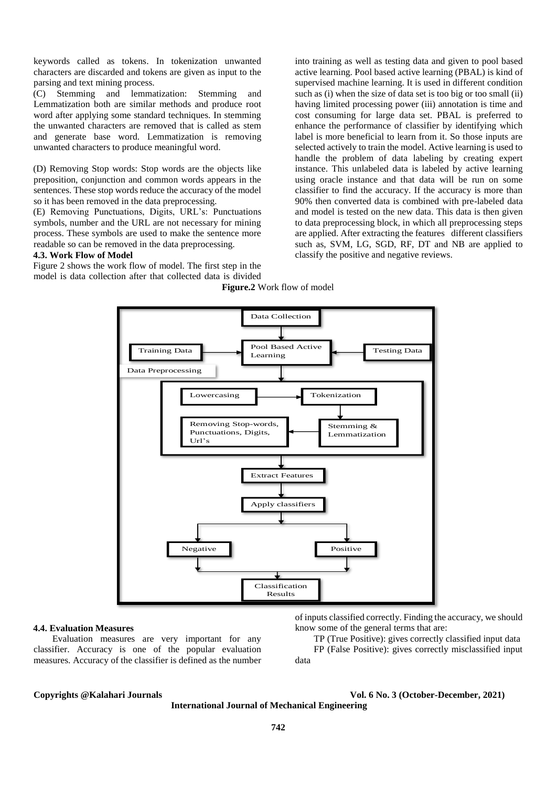keywords called as tokens. In tokenization unwanted characters are discarded and tokens are given as input to the parsing and text mining process.

(C) Stemming and lemmatization: Stemming and Lemmatization both are similar methods and produce root word after applying some standard techniques. In stemming the unwanted characters are removed that is called as stem and generate base word. Lemmatization is removing unwanted characters to produce meaningful word.

(D) Removing Stop words: Stop words are the objects like preposition, conjunction and common words appears in the sentences. These stop words reduce the accuracy of the model so it has been removed in the data preprocessing.

(E) Removing Punctuations, Digits, URL's: Punctuations symbols, number and the URL are not necessary for mining process. These symbols are used to make the sentence more readable so can be removed in the data preprocessing.

#### **4.3. Work Flow of Model**

Figure 2 shows the work flow of model. The first step in the model is data collection after that collected data is divided into training as well as testing data and given to pool based active learning. Pool based active learning (PBAL) is kind of supervised machine learning. It is used in different condition such as (i) when the size of data set is too big or too small (ii) having limited processing power (iii) annotation is time and cost consuming for large data set. PBAL is preferred to enhance the performance of classifier by identifying which label is more beneficial to learn from it. So those inputs are selected actively to train the model. Active learning is used to handle the problem of data labeling by creating expert instance. This unlabeled data is labeled by active learning using oracle instance and that data will be run on some classifier to find the accuracy. If the accuracy is more than 90% then converted data is combined with pre-labeled data and model is tested on the new data. This data is then given to data preprocessing block, in which all preprocessing steps are applied. After extracting the features different classifiers such as, SVM, LG, SGD, RF, DT and NB are applied to classify the positive and negative reviews.





#### **4.4. Evaluation Measures**

Evaluation measures are very important for any classifier. Accuracy is one of the popular evaluation measures. Accuracy of the classifier is defined as the number

of inputs classified correctly. Finding the accuracy, we should know some of the general terms that are:

TP (True Positive): gives correctly classified input data FP (False Positive): gives correctly misclassified input data

**Copyrights @Kalahari Journals Vol. 6 No. 3 (October-December, 2021)**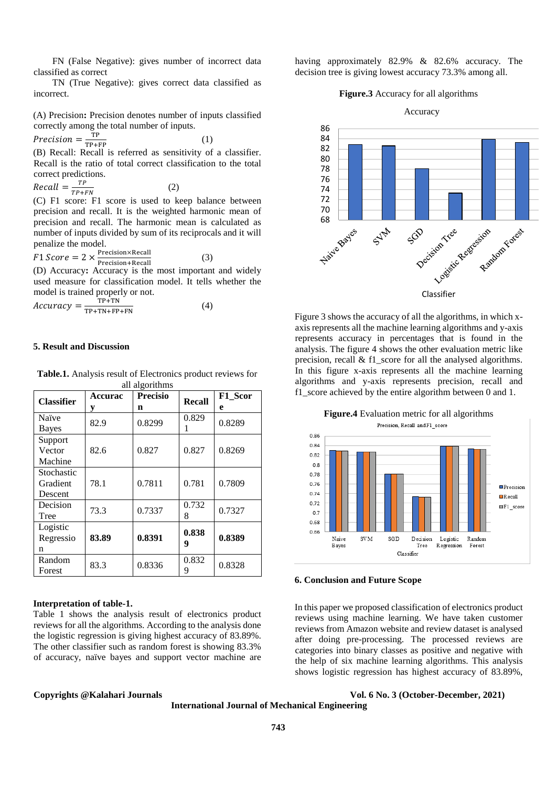FN (False Negative): gives number of incorrect data classified as correct

TN (True Negative): gives correct data classified as incorrect.

(A) Precision**:** Precision denotes number of inputs classified correctly among the total number of inputs.

(1)

(3)

$$
Precision = \frac{TP}{TP + FP}
$$

 $T_{\text{P+FP}}$ <br>(B) Recall: Recall is referred as sensitivity of a classifier. Recall is the ratio of total correct classification to the total correct predictions.

Recall = 
$$
\frac{TP}{TP+FN}
$$
 (2)  
(C) F1 score: F1 score is used to keep

ep balance between precision and recall. It is the weighted harmonic mean of precision and recall. The harmonic mean is calculated as number of inputs divided by sum of its reciprocals and it will penalize the model.

 $F1 Score = 2 \times \frac{Precision \times Recall}{Precision \times Recall}$ Precision+Recall

(D) Accuracy**:** Accuracy is the most important and widely used measure for classification model. It tells whether the model is trained properly or not.

$$
Accuracy = \frac{TP+TN}{TP+TN+FP+FN}
$$
 (4)

#### **5. Result and Discussion**

**Table.1.** Analysis result of Electronics product reviews for all algorithms

| <b>Classifier</b> | <b>Accurac</b> | <b>Precisio</b> | <b>Recall</b> | F1 Scor |
|-------------------|----------------|-----------------|---------------|---------|
|                   | у              | n               |               | e       |
| Naïve             | 82.9           | 0.8299          | 0.829         | 0.8289  |
| <b>Bayes</b>      |                |                 |               |         |
| Support           |                |                 |               |         |
| Vector            | 82.6           | 0.827           | 0.827         | 0.8269  |
| Machine           |                |                 |               |         |
| Stochastic        |                |                 |               |         |
| Gradient          | 78.1           | 0.7811          | 0.781         | 0.7809  |
| Descent           |                |                 |               |         |
| Decision          | 73.3           | 0.7337          | 0.732<br>8    | 0.7327  |
| Tree              |                |                 |               |         |
| Logistic          |                |                 | 0.838         |         |
| Regressio         | 83.89          | 0.8391          | 9             | 0.8389  |
| n                 |                |                 |               |         |
| Random            | 83.3           | 0.8336          | 0.832         | 0.8328  |
| Forest            |                |                 | 9             |         |

#### **Interpretation of table-1.**

Table 1 shows the analysis result of electronics product reviews for all the algorithms. According to the analysis done the logistic regression is giving highest accuracy of 83.89%. The other classifier such as random forest is showing 83.3% of accuracy, naïve bayes and support vector machine are

having approximately 82.9% & 82.6% accuracy. The decision tree is giving lowest accuracy 73.3% among all.

#### **Figure.3** Accuracy for all algorithms



Figure 3 shows the accuracy of all the algorithms, in which xaxis represents all the machine learning algorithms and y-axis represents accuracy in percentages that is found in the analysis. The figure 4 shows the other evaluation metric like precision, recall & f1\_score for all the analysed algorithms. In this figure x-axis represents all the machine learning algorithms and y-axis represents precision, recall and f1\_score achieved by the entire algorithm between 0 and 1.



**6. Conclusion and Future Scope** 

In this paper we proposed classification of electronics product reviews using machine learning. We have taken customer reviews from Amazon website and review dataset is analysed after doing pre-processing. The processed reviews are categories into binary classes as positive and negative with the help of six machine learning algorithms. This analysis shows logistic regression has highest accuracy of 83.89%,

#### **Copyrights @Kalahari Journals Vol. 6 No. 3 (October-December, 2021)**